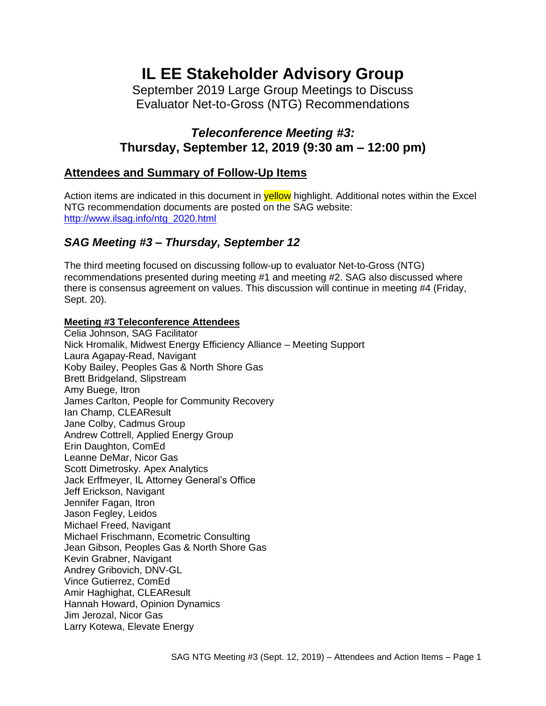# **IL EE Stakeholder Advisory Group**

September 2019 Large Group Meetings to Discuss Evaluator Net-to-Gross (NTG) Recommendations

# *Teleconference Meeting #3:* **Thursday, September 12, 2019 (9:30 am – 12:00 pm)**

# **Attendees and Summary of Follow-Up Items**

Action items are indicated in this document in **yellow** highlight. Additional notes within the Excel NTG recommendation documents are posted on the SAG website: [http://www.ilsag.info/ntg\\_2020.html](http://www.ilsag.info/ntg_2020.html)

## *SAG Meeting #3 – Thursday, September 12*

The third meeting focused on discussing follow-up to evaluator Net-to-Gross (NTG) recommendations presented during meeting #1 and meeting #2. SAG also discussed where there is consensus agreement on values. This discussion will continue in meeting #4 (Friday, Sept. 20).

#### **Meeting #3 Teleconference Attendees**

Celia Johnson, SAG Facilitator Nick Hromalik, Midwest Energy Efficiency Alliance – Meeting Support Laura Agapay-Read, Navigant Koby Bailey, Peoples Gas & North Shore Gas Brett Bridgeland, Slipstream Amy Buege, Itron James Carlton, People for Community Recovery Ian Champ, CLEAResult Jane Colby, Cadmus Group Andrew Cottrell, Applied Energy Group Erin Daughton, ComEd Leanne DeMar, Nicor Gas Scott Dimetrosky. Apex Analytics Jack Erffmeyer, IL Attorney General's Office Jeff Erickson, Navigant Jennifer Fagan, Itron Jason Fegley, Leidos Michael Freed, Navigant Michael Frischmann, Ecometric Consulting Jean Gibson, Peoples Gas & North Shore Gas Kevin Grabner, Navigant Andrey Gribovich, DNV-GL Vince Gutierrez, ComEd Amir Haghighat, CLEAResult Hannah Howard, Opinion Dynamics Jim Jerozal, Nicor Gas Larry Kotewa, Elevate Energy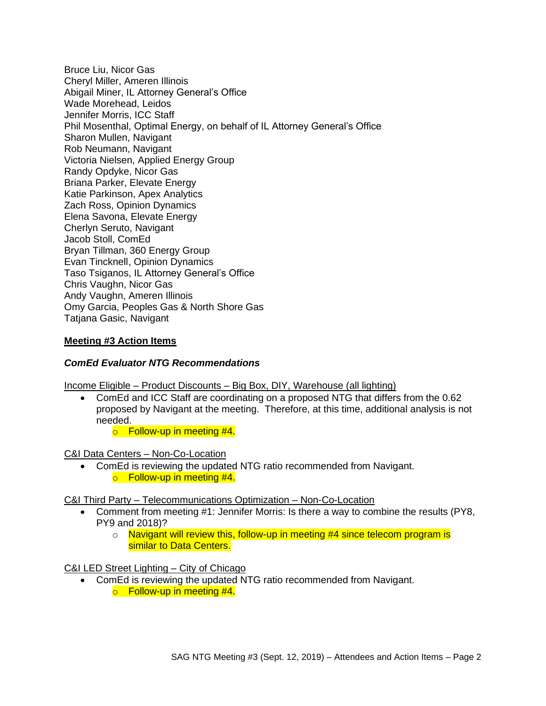Bruce Liu, Nicor Gas Cheryl Miller, Ameren Illinois Abigail Miner, IL Attorney General's Office Wade Morehead, Leidos Jennifer Morris, ICC Staff Phil Mosenthal, Optimal Energy, on behalf of IL Attorney General's Office Sharon Mullen, Navigant Rob Neumann, Navigant Victoria Nielsen, Applied Energy Group Randy Opdyke, Nicor Gas Briana Parker, Elevate Energy Katie Parkinson, Apex Analytics Zach Ross, Opinion Dynamics Elena Savona, Elevate Energy Cherlyn Seruto, Navigant Jacob Stoll, ComEd Bryan Tillman, 360 Energy Group Evan Tincknell, Opinion Dynamics Taso Tsiganos, IL Attorney General's Office Chris Vaughn, Nicor Gas Andy Vaughn, Ameren Illinois Omy Garcia, Peoples Gas & North Shore Gas Tatjana Gasic, Navigant

#### **Meeting #3 Action Items**

#### *ComEd Evaluator NTG Recommendations*

Income Eligible – Product Discounts – Big Box, DIY, Warehouse (all lighting)

- ComEd and ICC Staff are coordinating on a proposed NTG that differs from the 0.62 proposed by Navigant at the meeting. Therefore, at this time, additional analysis is not needed.
	- $\circ$  Follow-up in meeting #4.

#### C&I Data Centers – Non-Co-Location

• ComEd is reviewing the updated NTG ratio recommended from Navigant.  $\circ$  Follow-up in meeting #4.

#### C&I Third Party – Telecommunications Optimization – Non-Co-Location

- Comment from meeting #1: Jennifer Morris: Is there a way to combine the results (PY8, PY9 and 2018)?
	- o Navigant will review this, follow-up in meeting #4 since telecom program is similar to Data Centers.

#### C&I LED Street Lighting – City of Chicago

• ComEd is reviewing the updated NTG ratio recommended from Navigant.  $\circ$  Follow-up in meeting #4.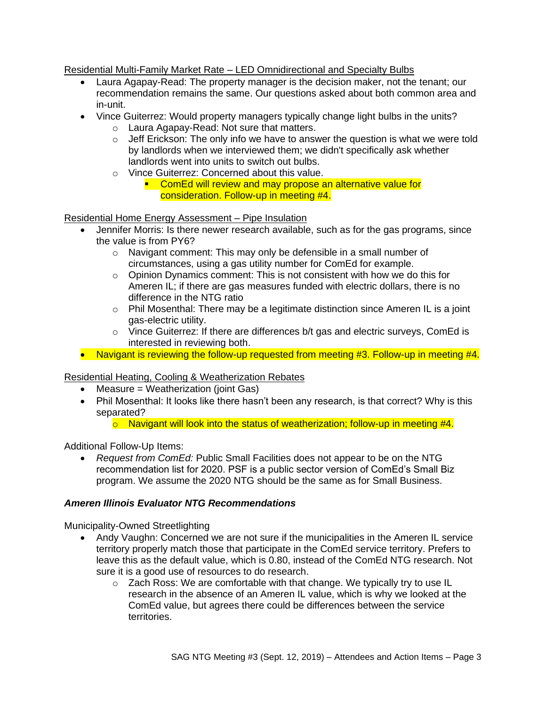## Residential Multi-Family Market Rate – LED Omnidirectional and Specialty Bulbs

- Laura Agapay-Read: The property manager is the decision maker, not the tenant; our recommendation remains the same. Our questions asked about both common area and in-unit.
- Vince Guiterrez: Would property managers typically change light bulbs in the units?
	- o Laura Agapay-Read: Not sure that matters.
	- $\circ$  Jeff Erickson: The only info we have to answer the question is what we were told by landlords when we interviewed them; we didn't specifically ask whether landlords went into units to switch out bulbs.
	- o Vince Guiterrez: Concerned about this value.
		- **EXECOMED WILL A COMED VALUT A** contribution and may propose an alternative value for consideration. Follow-up in meeting #4.

## Residential Home Energy Assessment – Pipe Insulation

- Jennifer Morris: Is there newer research available, such as for the gas programs, since the value is from PY6?
	- o Navigant comment: This may only be defensible in a small number of circumstances, using a gas utility number for ComEd for example.
	- o Opinion Dynamics comment: This is not consistent with how we do this for Ameren IL; if there are gas measures funded with electric dollars, there is no difference in the NTG ratio
	- o Phil Mosenthal: There may be a legitimate distinction since Ameren IL is a joint gas-electric utility.
	- $\circ$  Vince Guiterrez: If there are differences b/t gas and electric surveys, ComEd is interested in reviewing both.
- Navigant is reviewing the follow-up requested from meeting #3. Follow-up in meeting #4.

## Residential Heating, Cooling & Weatherization Rebates

- Measure = Weatherization (joint Gas)
- Phil Mosenthal: It looks like there hasn't been any research, is that correct? Why is this separated?
	- $\circ$  Navigant will look into the status of weatherization; follow-up in meeting #4.

Additional Follow-Up Items:

• *Request from ComEd:* Public Small Facilities does not appear to be on the NTG recommendation list for 2020. PSF is a public sector version of ComEd's Small Biz program. We assume the 2020 NTG should be the same as for Small Business.

#### *Ameren Illinois Evaluator NTG Recommendations*

Municipality-Owned Streetlighting

- Andy Vaughn: Concerned we are not sure if the municipalities in the Ameren IL service territory properly match those that participate in the ComEd service territory. Prefers to leave this as the default value, which is 0.80, instead of the ComEd NTG research. Not sure it is a good use of resources to do research.
	- $\circ$  Zach Ross: We are comfortable with that change. We typically try to use IL research in the absence of an Ameren IL value, which is why we looked at the ComEd value, but agrees there could be differences between the service territories.